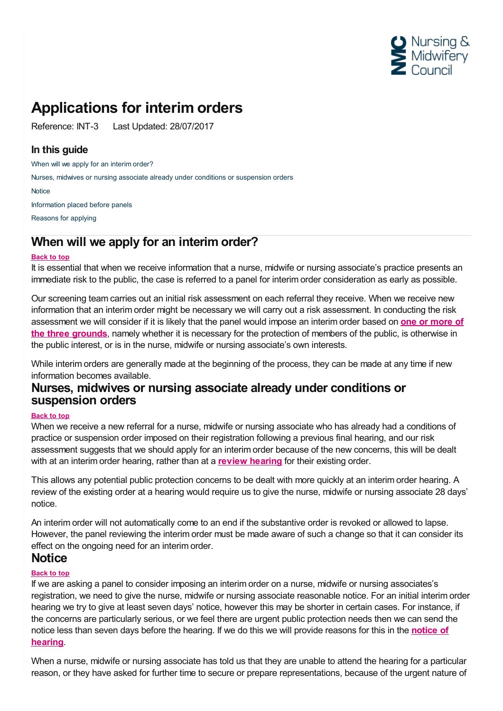

# **Applications for interim orders**

Reference: INT-3 Last Updated: 28/07/2017

## **In this guide**

When will we apply for an [interim](#page-0-0) order?

Nurses, midwives or nursing associate already under conditions or [suspension](#page-0-1) orders

**[Notice](#page-0-2)** 

[Information](#page-1-0) placed before panels

[Reasons](#page-1-1) for applying

# <span id="page-0-0"></span>**When will we apply for an interim order?**

#### **Back to top**

It is essential that when we receive information that a nurse, midwife or nursing associate's practice presents an immediate risk to the public, the case is referred to a panel for interim order consideration as early as possible.

Our screening team carries out an initial risk assessment on each referral they receive. When we receive new information that an interim order might be necessary we will carry out a risk assessment. In conducting the risk [assessment](https://www.nmc.org.uk/ftp-library/interim-orders/applying-the-interim-order-test/) we will consider if it is likely that the panel would impose an interim order based on **one or more of the three grounds**, namely whether it is necessary for the protection of members of the public, is otherwise in the public interest, or is in the nurse, midwife or nursing associate's own interests.

While interim orders are generally made at the beginning of the process, they can be made at any time if new information becomes available.

## <span id="page-0-1"></span>**Nurses, midwives or nursing associate already under conditions or suspension orders**

#### **Back to top**

When we receive a new referral for a nurse, midwife or nursing associate who has already had a conditions of practice or suspension order imposed on their registration following a previous final hearing, and our risk assessment suggests that we should apply for an interim order because of the new concerns, this will be dealt with at an interim order hearing, rather than at a **review [hearing](https://www.nmc.org.uk/ftp-library/reviews/substantive-order-reviews/early-review/)** for their existing order.

This allows any potential public protection concerns to be dealt with more quickly at an interim order hearing. A review of the existing order at a hearing would require us to give the nurse, midwife or nursing associate 28 days' notice.

An interim order will not automatically come to an end if the substantive order is revoked or allowed to lapse. However, the panel reviewing the interim order must be made aware of such a change so that it can consider its effect on the ongoing need for an interim order.

## <span id="page-0-2"></span>**Notice**

#### **Back to top**

If we are asking a panel to consider imposing an interim order on a nurse, midwife or nursing associates's registration, we need to give the nurse, midwife or nursing associate reasonable notice. For an initial interim order hearing we try to give at least seven days' notice, however this may be shorter in certain cases. For instance, if the concerns are particularly serious, or we feel there are urgent public protection needs then we can send the notice less than seven days before the [hearing.](https://www.nmc.org.uk/ftp-library/hearings/notice-of-our-hearings-and-meetings/) If we do this we will provide reasons for this in the **notice of hearing**.

When a nurse, midwife or nursing associate has told us that they are unable to attend the hearing for a particular reason, or they have asked for further time to secure or prepare representations, because of the urgent nature of